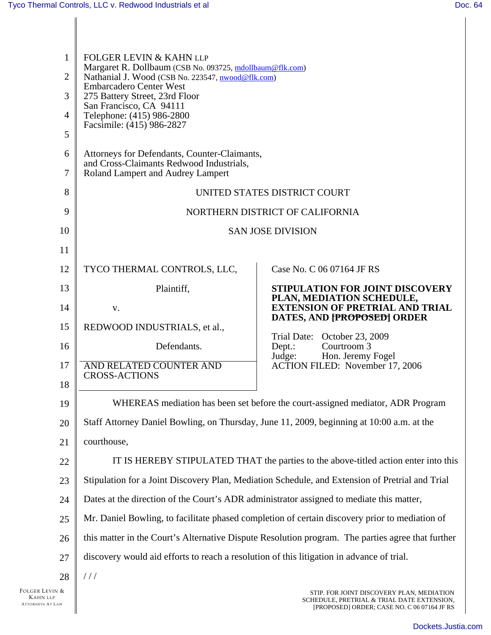| $\mathbf{1}$<br>$\overline{2}$<br>3<br>$\overline{4}$<br>5<br>6 | <b>FOLGER LEVIN &amp; KAHN LLP</b><br>Margaret R. Dollbaum (CSB No. 093725, mdollbaum@flk.com)<br>Nathanial J. Wood (CSB No. 223547, nwood@flk.com)<br><b>Embarcadero Center West</b><br>275 Battery Street, 23rd Floor<br>San Francisco, CA 94111<br>Telephone: (415) 986-2800<br>Facsimile: (415) 986-2827<br>Attorneys for Defendants, Counter-Claimants,<br>and Cross-Claimants Redwood Industrials, |                                                                                        |  |  |  |
|-----------------------------------------------------------------|----------------------------------------------------------------------------------------------------------------------------------------------------------------------------------------------------------------------------------------------------------------------------------------------------------------------------------------------------------------------------------------------------------|----------------------------------------------------------------------------------------|--|--|--|
| $\overline{7}$                                                  | Roland Lampert and Audrey Lampert                                                                                                                                                                                                                                                                                                                                                                        |                                                                                        |  |  |  |
| 8                                                               | UNITED STATES DISTRICT COURT                                                                                                                                                                                                                                                                                                                                                                             |                                                                                        |  |  |  |
| 9                                                               | NORTHERN DISTRICT OF CALIFORNIA                                                                                                                                                                                                                                                                                                                                                                          |                                                                                        |  |  |  |
| 10                                                              | <b>SAN JOSE DIVISION</b>                                                                                                                                                                                                                                                                                                                                                                                 |                                                                                        |  |  |  |
| 11                                                              |                                                                                                                                                                                                                                                                                                                                                                                                          |                                                                                        |  |  |  |
| 12                                                              | TYCO THERMAL CONTROLS, LLC,                                                                                                                                                                                                                                                                                                                                                                              | Case No. C 06 07164 JF RS                                                              |  |  |  |
| 13                                                              | Plaintiff,                                                                                                                                                                                                                                                                                                                                                                                               | <b>STIPULATION FOR JOINT DISCOVERY</b>                                                 |  |  |  |
| 14                                                              | V.                                                                                                                                                                                                                                                                                                                                                                                                       | PLAN, MEDIATION SCHEDULE,<br><b>EXTENSION OF PRETRIAL AND TRIAL</b>                    |  |  |  |
| 15                                                              | REDWOOD INDUSTRIALS, et al.,                                                                                                                                                                                                                                                                                                                                                                             | DATES, AND [PROPOSED] ORDER                                                            |  |  |  |
| 16                                                              | Defendants.                                                                                                                                                                                                                                                                                                                                                                                              | Trial Date: October 23, 2009<br>Courtroom 3<br>Dept.:                                  |  |  |  |
| 17                                                              | AND RELATED COUNTER AND                                                                                                                                                                                                                                                                                                                                                                                  | Hon. Jeremy Fogel<br>Judge:<br>ACTION FILED: November 17, 2006                         |  |  |  |
| 18                                                              | <b>CROSS-ACTIONS</b>                                                                                                                                                                                                                                                                                                                                                                                     |                                                                                        |  |  |  |
| 19                                                              | WHEREAS mediation has been set before the court-assigned mediator, ADR Program                                                                                                                                                                                                                                                                                                                           |                                                                                        |  |  |  |
| 20                                                              | Staff Attorney Daniel Bowling, on Thursday, June 11, 2009, beginning at 10:00 a.m. at the                                                                                                                                                                                                                                                                                                                |                                                                                        |  |  |  |
| 21                                                              | courthouse,                                                                                                                                                                                                                                                                                                                                                                                              |                                                                                        |  |  |  |
| 22                                                              | IT IS HEREBY STIPULATED THAT the parties to the above-titled action enter into this                                                                                                                                                                                                                                                                                                                      |                                                                                        |  |  |  |
| 23                                                              | Stipulation for a Joint Discovery Plan, Mediation Schedule, and Extension of Pretrial and Trial                                                                                                                                                                                                                                                                                                          |                                                                                        |  |  |  |
| 24                                                              | Dates at the direction of the Court's ADR administrator assigned to mediate this matter,                                                                                                                                                                                                                                                                                                                 |                                                                                        |  |  |  |
| 25                                                              | Mr. Daniel Bowling, to facilitate phased completion of certain discovery prior to mediation of                                                                                                                                                                                                                                                                                                           |                                                                                        |  |  |  |
| 26                                                              | this matter in the Court's Alternative Dispute Resolution program. The parties agree that further                                                                                                                                                                                                                                                                                                        |                                                                                        |  |  |  |
| 27                                                              | discovery would aid efforts to reach a resolution of this litigation in advance of trial.                                                                                                                                                                                                                                                                                                                |                                                                                        |  |  |  |
| 28                                                              | //                                                                                                                                                                                                                                                                                                                                                                                                       |                                                                                        |  |  |  |
| √&                                                              |                                                                                                                                                                                                                                                                                                                                                                                                          | STIP. FOR JOINT DISCOVERY PLAN, MEDIATION<br>SCHEDULE, PRETRIAL & TRIAL DATE EXTENSION |  |  |  |

Π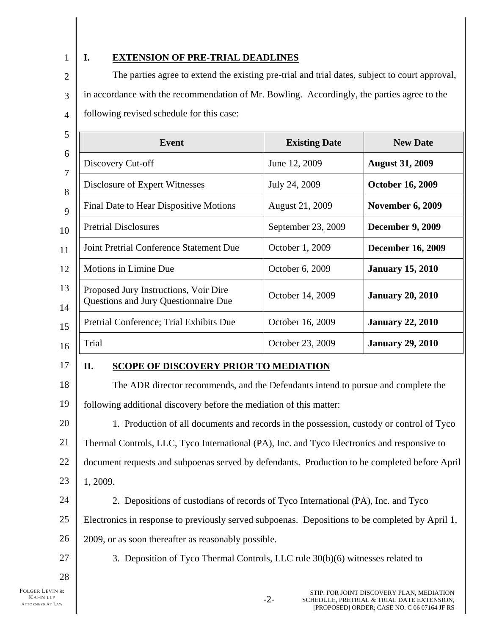1

## **I. EXTENSION OF PRE-TRIAL DEADLINES**

2 3 4 The parties agree to extend the existing pre-trial and trial dates, subject to court approval, in accordance with the recommendation of Mr. Bowling. Accordingly, the parties agree to the following revised schedule for this case:

| <b>Event</b>                                                                                                                                                                                                                                                                                                                                                                                                      | <b>Existing Date</b>                       | <b>New Date</b>          |  |  |  |
|-------------------------------------------------------------------------------------------------------------------------------------------------------------------------------------------------------------------------------------------------------------------------------------------------------------------------------------------------------------------------------------------------------------------|--------------------------------------------|--------------------------|--|--|--|
| Discovery Cut-off                                                                                                                                                                                                                                                                                                                                                                                                 | June 12, 2009                              | <b>August 31, 2009</b>   |  |  |  |
| Disclosure of Expert Witnesses                                                                                                                                                                                                                                                                                                                                                                                    | July 24, 2009                              | <b>October 16, 2009</b>  |  |  |  |
| Final Date to Hear Dispositive Motions                                                                                                                                                                                                                                                                                                                                                                            | August 21, 2009<br><b>November 6, 2009</b> |                          |  |  |  |
| <b>Pretrial Disclosures</b>                                                                                                                                                                                                                                                                                                                                                                                       | September 23, 2009                         | <b>December 9, 2009</b>  |  |  |  |
| Joint Pretrial Conference Statement Due                                                                                                                                                                                                                                                                                                                                                                           | October 1, 2009                            | <b>December 16, 2009</b> |  |  |  |
| Motions in Limine Due                                                                                                                                                                                                                                                                                                                                                                                             | October 6, 2009                            | <b>January 15, 2010</b>  |  |  |  |
| Proposed Jury Instructions, Voir Dire<br>Questions and Jury Questionnaire Due                                                                                                                                                                                                                                                                                                                                     | October 14, 2009                           | <b>January 20, 2010</b>  |  |  |  |
| Pretrial Conference; Trial Exhibits Due                                                                                                                                                                                                                                                                                                                                                                           | October 16, 2009                           | <b>January 22, 2010</b>  |  |  |  |
| Trial                                                                                                                                                                                                                                                                                                                                                                                                             | October 23, 2009                           | <b>January 29, 2010</b>  |  |  |  |
| II.<br><b>SCOPE OF DISCOVERY PRIOR TO MEDIATION</b>                                                                                                                                                                                                                                                                                                                                                               |                                            |                          |  |  |  |
| The ADR director recommends, and the Defendants intend to pursue and complete the<br>$\mathbf{1}$ , $\mathbf{1}$ , $\mathbf{1}$ , $\mathbf{1}$ , $\mathbf{1}$ , $\mathbf{1}$ , $\mathbf{1}$ , $\mathbf{1}$ , $\mathbf{1}$ , $\mathbf{1}$ , $\mathbf{1}$ , $\mathbf{1}$ , $\mathbf{1}$ , $\mathbf{1}$ , $\mathbf{1}$ , $\mathbf{1}$ , $\mathbf{1}$ , $\mathbf{1}$ , $\mathbf{1}$ , $\mathbf{1}$ ,<br>$\sim$ $\sim$ |                                            |                          |  |  |  |

19 20 21 22 23 24 25 26 27 following additional discovery before the mediation of this matter: 1. Production of all documents and records in the possession, custody or control of Tyco Thermal Controls, LLC, Tyco International (PA), Inc. and Tyco Electronics and responsive to document requests and subpoenas served by defendants. Production to be completed before April 1, 2009. 2. Depositions of custodians of records of Tyco International (PA), Inc. and Tyco Electronics in response to previously served subpoenas. Depositions to be completed by April 1, 2009, or as soon thereafter as reasonably possible. 3. Deposition of Tyco Thermal Controls, LLC rule 30(b)(6) witnesses related to

FOLGER LEVIN & KAHN LLP ATTORNEYS AT LAW

28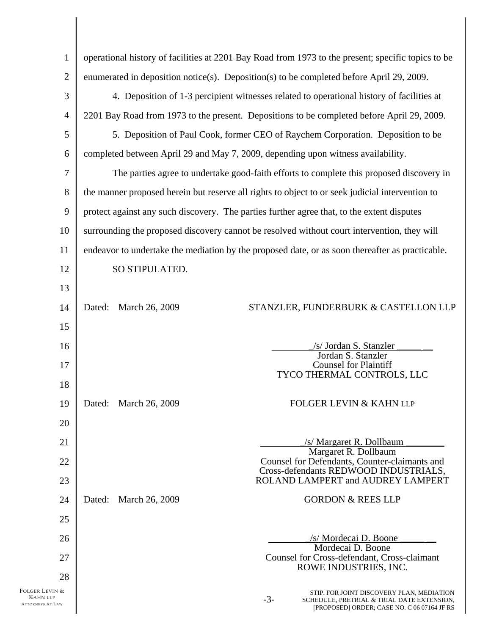| $\mathbf{1}$                                                                                               | operational history of facilities at 2201 Bay Road from 1973 to the present; specific topics to be |  |  |  |  |
|------------------------------------------------------------------------------------------------------------|----------------------------------------------------------------------------------------------------|--|--|--|--|
| $\overline{2}$<br>enumerated in deposition notice(s). Deposition(s) to be completed before April 29, 2009. |                                                                                                    |  |  |  |  |
| 3                                                                                                          | 4. Deposition of 1-3 percipient witnesses related to operational history of facilities at          |  |  |  |  |
| $\overline{4}$                                                                                             | 2201 Bay Road from 1973 to the present. Depositions to be completed before April 29, 2009.         |  |  |  |  |
| 5                                                                                                          | 5. Deposition of Paul Cook, former CEO of Raychem Corporation. Deposition to be                    |  |  |  |  |
| completed between April 29 and May 7, 2009, depending upon witness availability.<br>6                      |                                                                                                    |  |  |  |  |
| $\tau$                                                                                                     | The parties agree to undertake good-faith efforts to complete this proposed discovery in           |  |  |  |  |
| 8                                                                                                          | the manner proposed herein but reserve all rights to object to or seek judicial intervention to    |  |  |  |  |
| 9                                                                                                          | protect against any such discovery. The parties further agree that, to the extent disputes         |  |  |  |  |
| 10                                                                                                         | surrounding the proposed discovery cannot be resolved without court intervention, they will        |  |  |  |  |
| 11                                                                                                         | endeavor to undertake the mediation by the proposed date, or as soon thereafter as practicable.    |  |  |  |  |
| 12                                                                                                         | SO STIPULATED.                                                                                     |  |  |  |  |
| 13                                                                                                         |                                                                                                    |  |  |  |  |
| 14                                                                                                         | Dated:<br>STANZLER, FUNDERBURK & CASTELLON LLP<br>March 26, 2009                                   |  |  |  |  |
| 15                                                                                                         |                                                                                                    |  |  |  |  |
| 16                                                                                                         | /s/ Jordan S. Stanzler<br>Jordan S. Stanzler                                                       |  |  |  |  |
| 17                                                                                                         | <b>Counsel for Plaintiff</b><br>TYCO THERMAL CONTROLS, LLC                                         |  |  |  |  |
| 18                                                                                                         |                                                                                                    |  |  |  |  |
| 19                                                                                                         | FOLGER LEVIN & KAHN LLP<br>Dated: March 26, 2009                                                   |  |  |  |  |
| 20                                                                                                         |                                                                                                    |  |  |  |  |
| 21                                                                                                         | /s/ Margaret R. Dollbaum<br>Margaret R. Dollbaum                                                   |  |  |  |  |
| 22                                                                                                         | Counsel for Defendants, Counter-claimants and<br>Cross-defendants REDWOOD INDUSTRIALS,             |  |  |  |  |
| 23                                                                                                         | ROLAND LAMPERT and AUDREY LAMPERT                                                                  |  |  |  |  |
| 24                                                                                                         | <b>GORDON &amp; REES LLP</b><br>Dated:<br>March 26, 2009                                           |  |  |  |  |
| 25                                                                                                         |                                                                                                    |  |  |  |  |
| 26                                                                                                         | /s/ Mordecai D. Boone<br>Mordecai D. Boone                                                         |  |  |  |  |
| 27                                                                                                         | Counsel for Cross-defendant, Cross-claimant<br>ROWE INDUSTRIES, INC.                               |  |  |  |  |
| 28<br>FOLGER LEVIN &                                                                                       | STIP. FOR JOINT DISCOVERY PLAN, MEDIATION                                                          |  |  |  |  |
| <b>KAHN LLP</b><br><b>ATTORNEYS AT LAW</b>                                                                 | $-3-$<br>SCHEDULE, PRETRIAL & TRIAL DATE EXTENSION,<br>[PROPOSED] ORDER; CASE NO. C 06 07164 JF RS |  |  |  |  |
|                                                                                                            |                                                                                                    |  |  |  |  |